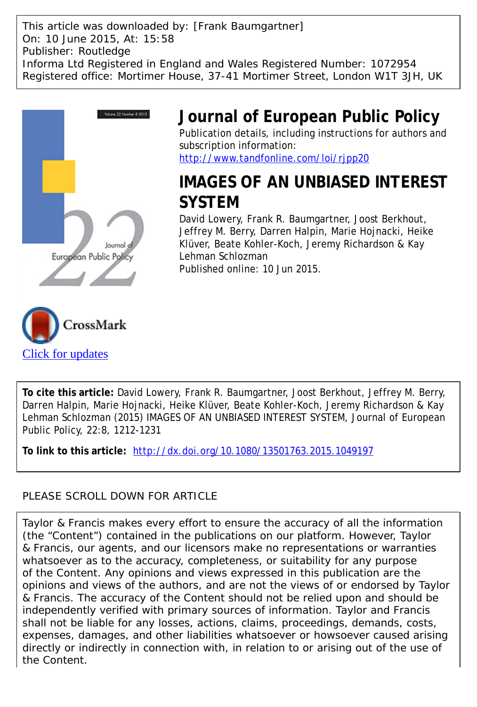This article was downloaded by: [Frank Baumgartner] On: 10 June 2015, At: 15:58 Publisher: Routledge Informa Ltd Registered in England and Wales Registered Number: 1072954 Registered office: Mortimer House, 37-41 Mortimer Street, London W1T 3JH, UK



# **Journal of European Public Policy**

Publication details, including instructions for authors and subscription information:

<http://www.tandfonline.com/loi/rjpp20>

# **IMAGES OF AN UNBIASED INTEREST SYSTEM**

David Lowery, Frank R. Baumgartner, Joost Berkhout, Jeffrey M. Berry, Darren Halpin, Marie Hojnacki, Heike Klüver, Beate Kohler-Koch, Jeremy Richardson & Kay Lehman Schlozman Published online: 10 Jun 2015.



**To cite this article:** David Lowery, Frank R. Baumgartner, Joost Berkhout, Jeffrey M. Berry, Darren Halpin, Marie Hojnacki, Heike Klüver, Beate Kohler-Koch, Jeremy Richardson & Kay Lehman Schlozman (2015) IMAGES OF AN UNBIASED INTEREST SYSTEM, Journal of European Public Policy, 22:8, 1212-1231

**To link to this article:** <http://dx.doi.org/10.1080/13501763.2015.1049197>

# PLEASE SCROLL DOWN FOR ARTICLE

Taylor & Francis makes every effort to ensure the accuracy of all the information (the "Content") contained in the publications on our platform. However, Taylor & Francis, our agents, and our licensors make no representations or warranties whatsoever as to the accuracy, completeness, or suitability for any purpose of the Content. Any opinions and views expressed in this publication are the opinions and views of the authors, and are not the views of or endorsed by Taylor & Francis. The accuracy of the Content should not be relied upon and should be independently verified with primary sources of information. Taylor and Francis shall not be liable for any losses, actions, claims, proceedings, demands, costs, expenses, damages, and other liabilities whatsoever or howsoever caused arising directly or indirectly in connection with, in relation to or arising out of the use of the Content.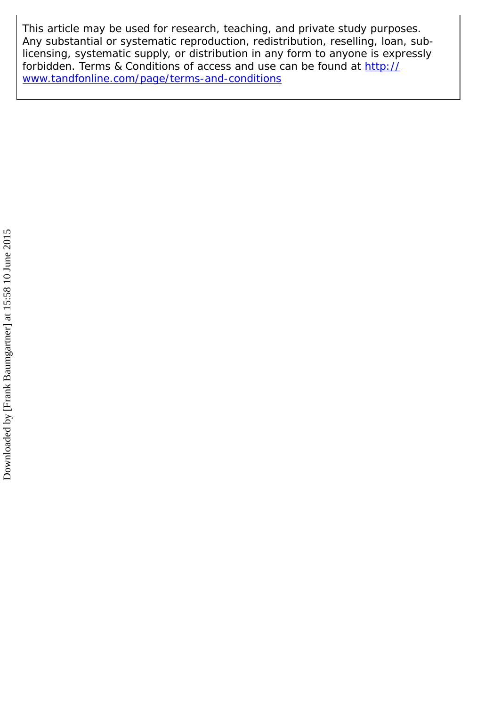This article may be used for research, teaching, and private study purposes. Any substantial or systematic reproduction, redistribution, reselling, loan, sublicensing, systematic supply, or distribution in any form to anyone is expressly forbidden. Terms & Conditions of access and use can be found at [http://](http://www.tandfonline.com/page/terms-and-conditions) [www.tandfonline.com/page/terms-and-conditions](http://www.tandfonline.com/page/terms-and-conditions)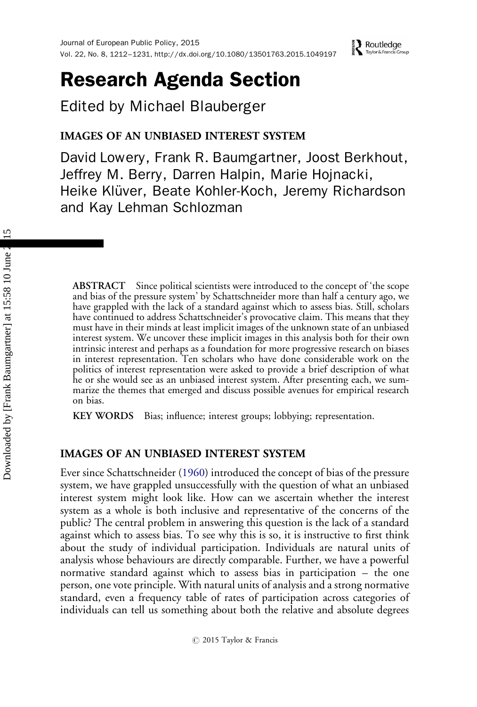# Research Agenda Section

Edited by Michael Blauberger

# IMAGES OF AN UNBIASED INTEREST SYSTEM

David Lowery, Frank R. Baumgartner, Joost Berkhout, Jeffrey M. Berry, Darren Halpin, Marie Hojnacki, Heike Klüver, Beate Kohler-Koch, Jeremy Richardson and Kay Lehman Schlozman

ABSTRACT Since political scientists were introduced to the concept of 'the scope and bias of the pressure system' by Schattschneider more than half a century ago, we have grappled with the lack of a standard against which to assess bias. Still, scholars have continued to address Schattschneider's provocative claim. This means that they must have in their minds at least implicit images of the unknown state of an unbiased interest system. We uncover these implicit images in this analysis both for their own intrinsic interest and perhaps as a foundation for more progressive research on biases in interest representation. Ten scholars who have done considerable work on the politics of interest representation were asked to provide a brief description of what he or she would see as an unbiased interest system. After presenting each, we summarize the themes that emerged and discuss possible avenues for empirical research on bias.

KEY WORDS Bias; influence; interest groups; lobbying; representation.

## IMAGES OF AN UNBIASED INTEREST SYSTEM

Ever since Schattschneider [\(1960](#page-21-0)) introduced the concept of bias of the pressure system, we have grappled unsuccessfully with the question of what an unbiased interest system might look like. How can we ascertain whether the interest system as a whole is both inclusive and representative of the concerns of the public? The central problem in answering this question is the lack of a standard against which to assess bias. To see why this is so, it is instructive to first think about the study of individual participation. Individuals are natural units of analysis whose behaviours are directly comparable. Further, we have a powerful normative standard against which to assess bias in participation – the one person, one vote principle. With natural units of analysis and a strong normative standard, even a frequency table of rates of participation across categories of individuals can tell us something about both the relative and absolute degrees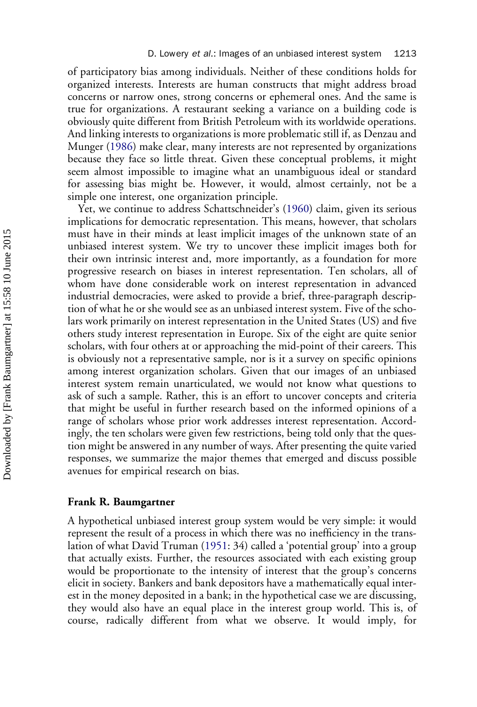of participatory bias among individuals. Neither of these conditions holds for organized interests. Interests are human constructs that might address broad concerns or narrow ones, strong concerns or ephemeral ones. And the same is true for organizations. A restaurant seeking a variance on a building code is obviously quite different from British Petroleum with its worldwide operations. And linking interests to organizations is more problematic still if, as Denzau and Munger ([1986\)](#page-19-0) make clear, many interests are not represented by organizations because they face so little threat. Given these conceptual problems, it might seem almost impossible to imagine what an unambiguous ideal or standard for assessing bias might be. However, it would, almost certainly, not be a simple one interest, one organization principle.

Yet, we continue to address Schattschneider's ([1960\)](#page-21-0) claim, given its serious implications for democratic representation. This means, however, that scholars must have in their minds at least implicit images of the unknown state of an unbiased interest system. We try to uncover these implicit images both for their own intrinsic interest and, more importantly, as a foundation for more progressive research on biases in interest representation. Ten scholars, all of whom have done considerable work on interest representation in advanced industrial democracies, were asked to provide a brief, three-paragraph description of what he or she would see as an unbiased interest system. Five of the scholars work primarily on interest representation in the United States (US) and five others study interest representation in Europe. Six of the eight are quite senior scholars, with four others at or approaching the mid-point of their careers. This is obviously not a representative sample, nor is it a survey on specific opinions among interest organization scholars. Given that our images of an unbiased interest system remain unarticulated, we would not know what questions to ask of such a sample. Rather, this is an effort to uncover concepts and criteria that might be useful in further research based on the informed opinions of a range of scholars whose prior work addresses interest representation. Accordingly, the ten scholars were given few restrictions, being told only that the question might be answered in any number of ways. After presenting the quite varied responses, we summarize the major themes that emerged and discuss possible avenues for empirical research on bias.

#### Frank R. Baumgartner

A hypothetical unbiased interest group system would be very simple: it would represent the result of a process in which there was no inefficiency in the translation of what David Truman [\(1951](#page-21-0): 34) called a 'potential group' into a group that actually exists. Further, the resources associated with each existing group would be proportionate to the intensity of interest that the group's concerns elicit in society. Bankers and bank depositors have a mathematically equal interest in the money deposited in a bank; in the hypothetical case we are discussing, they would also have an equal place in the interest group world. This is, of course, radically different from what we observe. It would imply, for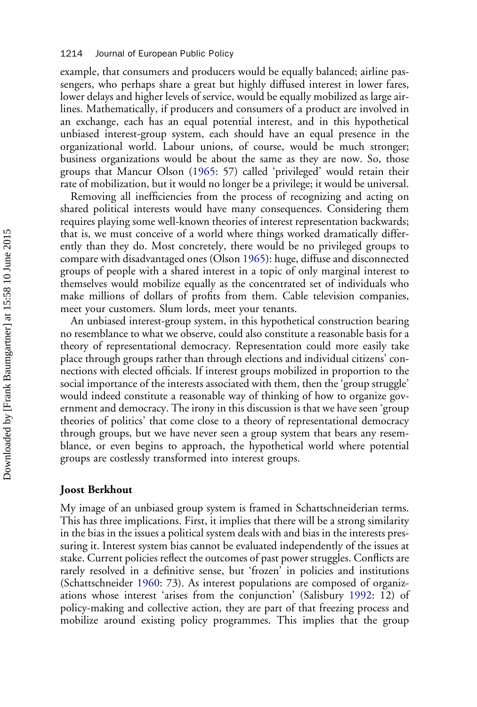example, that consumers and producers would be equally balanced; airline passengers, who perhaps share a great but highly diffused interest in lower fares, lower delays and higher levels of service, would be equally mobilized as large airlines. Mathematically, if producers and consumers of a product are involved in an exchange, each has an equal potential interest, and in this hypothetical unbiased interest-group system, each should have an equal presence in the organizational world. Labour unions, of course, would be much stronger; business organizations would be about the same as they are now. So, those groups that Mancur Olson [\(1965](#page-20-0): 57) called 'privileged' would retain their rate of mobilization, but it would no longer be a privilege; it would be universal.

Removing all inefficiencies from the process of recognizing and acting on shared political interests would have many consequences. Considering them requires playing some well-known theories of interest representation backwards; that is, we must conceive of a world where things worked dramatically differently than they do. Most concretely, there would be no privileged groups to compare with disadvantaged ones (Olson [1965\)](#page-20-0): huge, diffuse and disconnected groups of people with a shared interest in a topic of only marginal interest to themselves would mobilize equally as the concentrated set of individuals who make millions of dollars of profits from them. Cable television companies, meet your customers. Slum lords, meet your tenants.

An unbiased interest-group system, in this hypothetical construction bearing no resemblance to what we observe, could also constitute a reasonable basis for a theory of representational democracy. Representation could more easily take place through groups rather than through elections and individual citizens' connections with elected officials. If interest groups mobilized in proportion to the social importance of the interests associated with them, then the 'group struggle' would indeed constitute a reasonable way of thinking of how to organize government and democracy. The irony in this discussion is that we have seen 'group theories of politics' that come close to a theory of representational democracy through groups, but we have never seen a group system that bears any resemblance, or even begins to approach, the hypothetical world where potential groups are costlessly transformed into interest groups.

#### Joost Berkhout

My image of an unbiased group system is framed in Schattschneiderian terms. This has three implications. First, it implies that there will be a strong similarity in the bias in the issues a political system deals with and bias in the interests pressuring it. Interest system bias cannot be evaluated independently of the issues at stake. Current policies reflect the outcomes of past power struggles. Conflicts are rarely resolved in a definitive sense, but 'frozen' in policies and institutions (Schattschneider [1960:](#page-21-0) 73). As interest populations are composed of organizations whose interest 'arises from the conjunction' (Salisbury [1992](#page-21-0): 12) of policy-making and collective action, they are part of that freezing process and mobilize around existing policy programmes. This implies that the group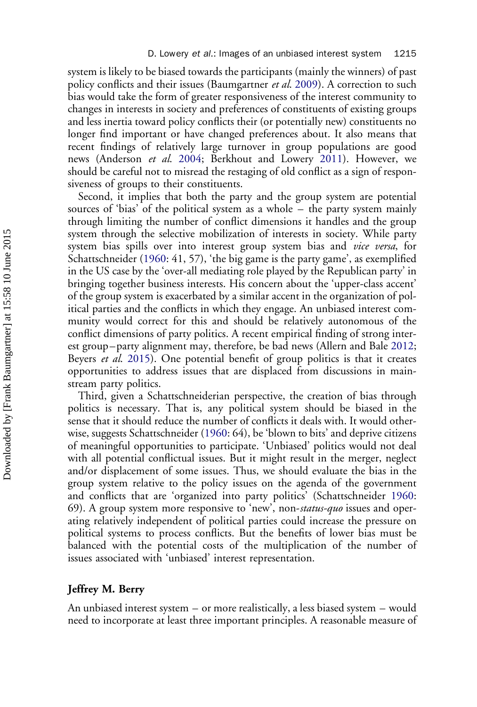system is likely to be biased towards the participants (mainly the winners) of past policy conflicts and their issues (Baumgartner et al. [2009](#page-19-0)). A correction to such bias would take the form of greater responsiveness of the interest community to changes in interests in society and preferences of constituents of existing groups and less inertia toward policy conflicts their (or potentially new) constituents no longer find important or have changed preferences about. It also means that recent findings of relatively large turnover in group populations are good news (Anderson et al. [2004;](#page-19-0) Berkhout and Lowery [2011](#page-19-0)). However, we should be careful not to misread the restaging of old conflict as a sign of responsiveness of groups to their constituents.

Second, it implies that both the party and the group system are potential sources of 'bias' of the political system as a whole – the party system mainly through limiting the number of conflict dimensions it handles and the group system through the selective mobilization of interests in society. While party system bias spills over into interest group system bias and *vice versa*, for Schattschneider ([1960:](#page-21-0) 41, 57), 'the big game is the party game', as exemplified in the US case by the 'over-all mediating role played by the Republican party' in bringing together business interests. His concern about the 'upper-class accent' of the group system is exacerbated by a similar accent in the organization of political parties and the conflicts in which they engage. An unbiased interest community would correct for this and should be relatively autonomous of the conflict dimensions of party politics. A recent empirical finding of strong interest group–party alignment may, therefore, be bad news (Allern and Bale [2012](#page-19-0); Beyers *et al.* [2015\)](#page-19-0). One potential benefit of group politics is that it creates opportunities to address issues that are displaced from discussions in mainstream party politics.

Third, given a Schattschneiderian perspective, the creation of bias through politics is necessary. That is, any political system should be biased in the sense that it should reduce the number of conflicts it deals with. It would otherwise, suggests Schattschneider ([1960:](#page-21-0) 64), be 'blown to bits' and deprive citizens of meaningful opportunities to participate. 'Unbiased' politics would not deal with all potential conflictual issues. But it might result in the merger, neglect and/or displacement of some issues. Thus, we should evaluate the bias in the group system relative to the policy issues on the agenda of the government and conflicts that are 'organized into party politics' (Schattschneider [1960](#page-21-0): 69). A group system more responsive to 'new', non-status-quo issues and operating relatively independent of political parties could increase the pressure on political systems to process conflicts. But the benefits of lower bias must be balanced with the potential costs of the multiplication of the number of issues associated with 'unbiased' interest representation.

#### Jeffrey M. Berry

An unbiased interest system – or more realistically, a less biased system – would need to incorporate at least three important principles. A reasonable measure of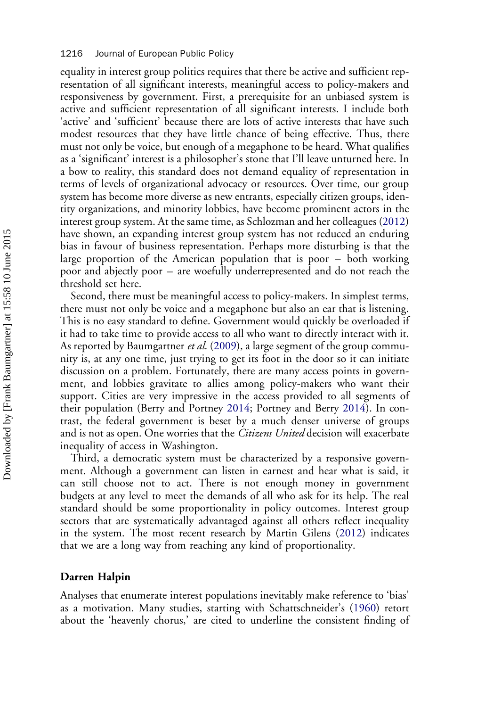equality in interest group politics requires that there be active and sufficient representation of all significant interests, meaningful access to policy-makers and responsiveness by government. First, a prerequisite for an unbiased system is active and sufficient representation of all significant interests. I include both 'active' and 'sufficient' because there are lots of active interests that have such modest resources that they have little chance of being effective. Thus, there must not only be voice, but enough of a megaphone to be heard. What qualifies as a 'significant' interest is a philosopher's stone that I'll leave unturned here. In a bow to reality, this standard does not demand equality of representation in terms of levels of organizational advocacy or resources. Over time, our group system has become more diverse as new entrants, especially citizen groups, identity organizations, and minority lobbies, have become prominent actors in the interest group system. At the same time, as Schlozman and her colleagues [\(2012](#page-21-0)) have shown, an expanding interest group system has not reduced an enduring bias in favour of business representation. Perhaps more disturbing is that the large proportion of the American population that is poor – both working poor and abjectly poor – are woefully underrepresented and do not reach the threshold set here.

Second, there must be meaningful access to policy-makers. In simplest terms, there must not only be voice and a megaphone but also an ear that is listening. This is no easy standard to define. Government would quickly be overloaded if it had to take time to provide access to all who want to directly interact with it. As reported by Baumgartner *et al.* ([2009\)](#page-19-0), a large segment of the group community is, at any one time, just trying to get its foot in the door so it can initiate discussion on a problem. Fortunately, there are many access points in government, and lobbies gravitate to allies among policy-makers who want their support. Cities are very impressive in the access provided to all segments of their population (Berry and Portney [2014;](#page-19-0) Portney and Berry [2014](#page-20-0)). In contrast, the federal government is beset by a much denser universe of groups and is not as open. One worries that the *Citizens United* decision will exacerbate inequality of access in Washington.

Third, a democratic system must be characterized by a responsive government. Although a government can listen in earnest and hear what is said, it can still choose not to act. There is not enough money in government budgets at any level to meet the demands of all who ask for its help. The real standard should be some proportionality in policy outcomes. Interest group sectors that are systematically advantaged against all others reflect inequality in the system. The most recent research by Martin Gilens ([2012\)](#page-19-0) indicates that we are a long way from reaching any kind of proportionality.

## Darren Halpin

Analyses that enumerate interest populations inevitably make reference to 'bias' as a motivation. Many studies, starting with Schattschneider's [\(1960](#page-21-0)) retort about the 'heavenly chorus,' are cited to underline the consistent finding of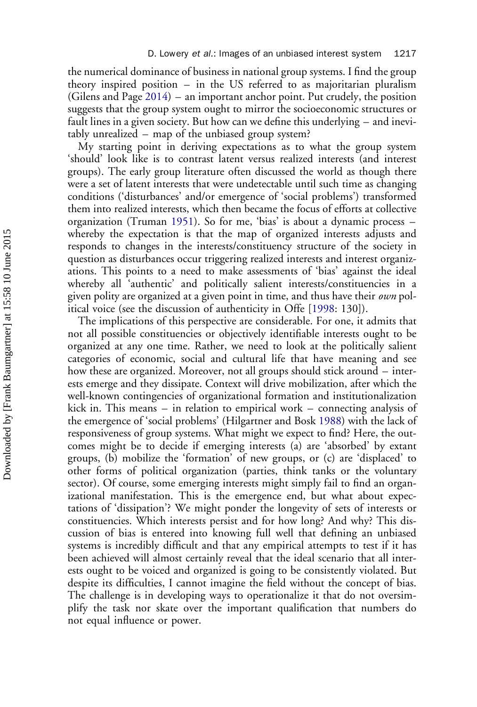the numerical dominance of business in national group systems. I find the group theory inspired position – in the US referred to as majoritarian pluralism (Gilens and Page [2014\)](#page-20-0) – an important anchor point. Put crudely, the position suggests that the group system ought to mirror the socioeconomic structures or fault lines in a given society. But how can we define this underlying – and inevitably unrealized – map of the unbiased group system?

My starting point in deriving expectations as to what the group system 'should' look like is to contrast latent versus realized interests (and interest groups). The early group literature often discussed the world as though there were a set of latent interests that were undetectable until such time as changing conditions ('disturbances' and/or emergence of 'social problems') transformed them into realized interests, which then became the focus of efforts at collective organization (Truman [1951\)](#page-21-0). So for me, 'bias' is about a dynamic process – whereby the expectation is that the map of organized interests adjusts and responds to changes in the interests/constituency structure of the society in question as disturbances occur triggering realized interests and interest organizations. This points to a need to make assessments of 'bias' against the ideal whereby all 'authentic' and politically salient interests/constituencies in a given polity are organized at a given point in time, and thus have their *own* political voice (see the discussion of authenticity in Offe [\[1998](#page-20-0): 130]).

The implications of this perspective are considerable. For one, it admits that not all possible constituencies or objectively identifiable interests ought to be organized at any one time. Rather, we need to look at the politically salient categories of economic, social and cultural life that have meaning and see how these are organized. Moreover, not all groups should stick around – interests emerge and they dissipate. Context will drive mobilization, after which the well-known contingencies of organizational formation and institutionalization kick in. This means – in relation to empirical work – connecting analysis of the emergence of 'social problems' (Hilgartner and Bosk [1988\)](#page-20-0) with the lack of responsiveness of group systems. What might we expect to find? Here, the outcomes might be to decide if emerging interests (a) are 'absorbed' by extant groups, (b) mobilize the 'formation' of new groups, or (c) are 'displaced' to other forms of political organization (parties, think tanks or the voluntary sector). Of course, some emerging interests might simply fail to find an organizational manifestation. This is the emergence end, but what about expectations of 'dissipation'? We might ponder the longevity of sets of interests or constituencies. Which interests persist and for how long? And why? This discussion of bias is entered into knowing full well that defining an unbiased systems is incredibly difficult and that any empirical attempts to test if it has been achieved will almost certainly reveal that the ideal scenario that all interests ought to be voiced and organized is going to be consistently violated. But despite its difficulties, I cannot imagine the field without the concept of bias. The challenge is in developing ways to operationalize it that do not oversimplify the task nor skate over the important qualification that numbers do not equal influence or power.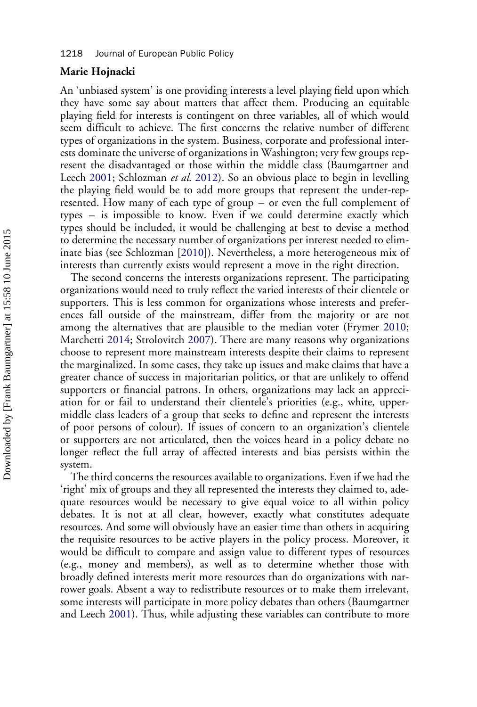#### Marie Hojnacki

An 'unbiased system' is one providing interests a level playing field upon which they have some say about matters that affect them. Producing an equitable playing field for interests is contingent on three variables, all of which would seem difficult to achieve. The first concerns the relative number of different types of organizations in the system. Business, corporate and professional interests dominate the universe of organizations in Washington; very few groups represent the disadvantaged or those within the middle class (Baumgartner and Leech [2001](#page-19-0); Schlozman et al. [2012\)](#page-21-0). So an obvious place to begin in levelling the playing field would be to add more groups that represent the under-represented. How many of each type of group – or even the full complement of types – is impossible to know. Even if we could determine exactly which types should be included, it would be challenging at best to devise a method to determine the necessary number of organizations per interest needed to eliminate bias (see Schlozman [\[2010](#page-21-0)]). Nevertheless, a more heterogeneous mix of interests than currently exists would represent a move in the right direction.

The second concerns the interests organizations represent. The participating organizations would need to truly reflect the varied interests of their clientele or supporters. This is less common for organizations whose interests and preferences fall outside of the mainstream, differ from the majority or are not among the alternatives that are plausible to the median voter (Frymer [2010](#page-19-0); Marchetti [2014](#page-20-0); Strolovitch [2007\)](#page-21-0). There are many reasons why organizations choose to represent more mainstream interests despite their claims to represent the marginalized. In some cases, they take up issues and make claims that have a greater chance of success in majoritarian politics, or that are unlikely to offend supporters or financial patrons. In others, organizations may lack an appreciation for or fail to understand their clientele's priorities (e.g., white, uppermiddle class leaders of a group that seeks to define and represent the interests of poor persons of colour). If issues of concern to an organization's clientele or supporters are not articulated, then the voices heard in a policy debate no longer reflect the full array of affected interests and bias persists within the system.

The third concerns the resources available to organizations. Even if we had the 'right' mix of groups and they all represented the interests they claimed to, adequate resources would be necessary to give equal voice to all within policy debates. It is not at all clear, however, exactly what constitutes adequate resources. And some will obviously have an easier time than others in acquiring the requisite resources to be active players in the policy process. Moreover, it would be difficult to compare and assign value to different types of resources (e.g., money and members), as well as to determine whether those with broadly defined interests merit more resources than do organizations with narrower goals. Absent a way to redistribute resources or to make them irrelevant, some interests will participate in more policy debates than others (Baumgartner and Leech [2001\)](#page-19-0). Thus, while adjusting these variables can contribute to more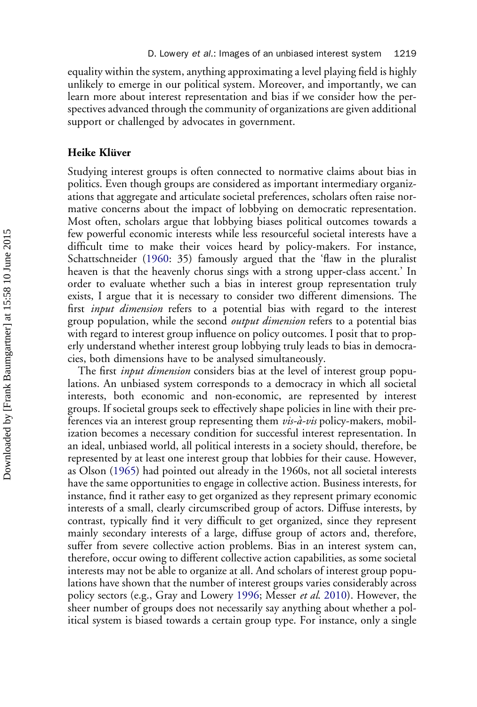equality within the system, anything approximating a level playing field is highly unlikely to emerge in our political system. Moreover, and importantly, we can learn more about interest representation and bias if we consider how the perspectives advanced through the community of organizations are given additional support or challenged by advocates in government.

### Heike Klüver

Studying interest groups is often connected to normative claims about bias in politics. Even though groups are considered as important intermediary organizations that aggregate and articulate societal preferences, scholars often raise normative concerns about the impact of lobbying on democratic representation. Most often, scholars argue that lobbying biases political outcomes towards a few powerful economic interests while less resourceful societal interests have a difficult time to make their voices heard by policy-makers. For instance, Schattschneider ([1960:](#page-21-0) 35) famously argued that the 'flaw in the pluralist heaven is that the heavenly chorus sings with a strong upper-class accent.' In order to evaluate whether such a bias in interest group representation truly exists, I argue that it is necessary to consider two different dimensions. The first *input dimension* refers to a potential bias with regard to the interest group population, while the second *output dimension* refers to a potential bias with regard to interest group influence on policy outcomes. I posit that to properly understand whether interest group lobbying truly leads to bias in democracies, both dimensions have to be analysed simultaneously.

The first *input dimension* considers bias at the level of interest group populations. An unbiased system corresponds to a democracy in which all societal interests, both economic and non-economic, are represented by interest groups. If societal groups seek to effectively shape policies in line with their preferences via an interest group representing them  $vis-\hat{a}-vis$  policy-makers, mobilization becomes a necessary condition for successful interest representation. In an ideal, unbiased world, all political interests in a society should, therefore, be represented by at least one interest group that lobbies for their cause. However, as Olson ([1965\)](#page-20-0) had pointed out already in the 1960s, not all societal interests have the same opportunities to engage in collective action. Business interests, for instance, find it rather easy to get organized as they represent primary economic interests of a small, clearly circumscribed group of actors. Diffuse interests, by contrast, typically find it very difficult to get organized, since they represent mainly secondary interests of a large, diffuse group of actors and, therefore, suffer from severe collective action problems. Bias in an interest system can, therefore, occur owing to different collective action capabilities, as some societal interests may not be able to organize at all. And scholars of interest group populations have shown that the number of interest groups varies considerably across policy sectors (e.g., Gray and Lowery [1996;](#page-20-0) Messer et al. [2010](#page-20-0)). However, the sheer number of groups does not necessarily say anything about whether a political system is biased towards a certain group type. For instance, only a single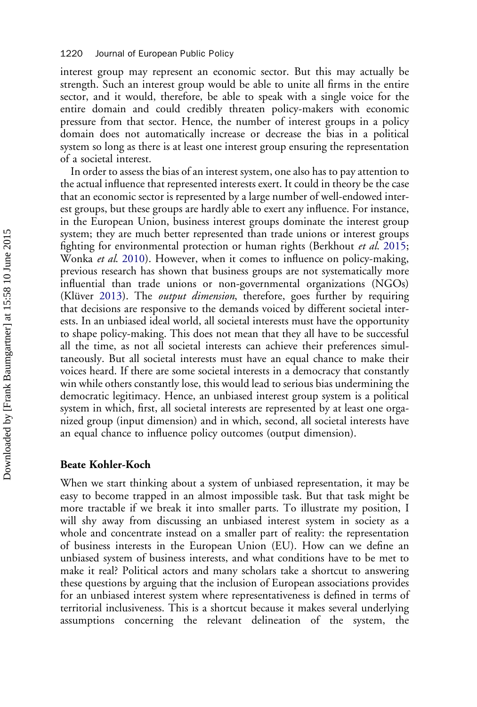interest group may represent an economic sector. But this may actually be strength. Such an interest group would be able to unite all firms in the entire sector, and it would, therefore, be able to speak with a single voice for the entire domain and could credibly threaten policy-makers with economic pressure from that sector. Hence, the number of interest groups in a policy domain does not automatically increase or decrease the bias in a political system so long as there is at least one interest group ensuring the representation of a societal interest.

In order to assess the bias of an interest system, one also has to pay attention to the actual influence that represented interests exert. It could in theory be the case that an economic sector is represented by a large number of well-endowed interest groups, but these groups are hardly able to exert any influence. For instance, in the European Union, business interest groups dominate the interest group system; they are much better represented than trade unions or interest groups fighting for environmental protection or human rights (Berkhout et al. [2015](#page-19-0); Wonka et al. [2010\)](#page-21-0). However, when it comes to influence on policy-making, previous research has shown that business groups are not systematically more influential than trade unions or non-governmental organizations (NGOs) (Klüver [2013\)](#page-20-0). The *output dimension*, therefore, goes further by requiring that decisions are responsive to the demands voiced by different societal interests. In an unbiased ideal world, all societal interests must have the opportunity to shape policy-making. This does not mean that they all have to be successful all the time, as not all societal interests can achieve their preferences simultaneously. But all societal interests must have an equal chance to make their voices heard. If there are some societal interests in a democracy that constantly win while others constantly lose, this would lead to serious bias undermining the democratic legitimacy. Hence, an unbiased interest group system is a political system in which, first, all societal interests are represented by at least one organized group (input dimension) and in which, second, all societal interests have an equal chance to influence policy outcomes (output dimension).

### Beate Kohler-Koch

When we start thinking about a system of unbiased representation, it may be easy to become trapped in an almost impossible task. But that task might be more tractable if we break it into smaller parts. To illustrate my position, I will shy away from discussing an unbiased interest system in society as a whole and concentrate instead on a smaller part of reality: the representation of business interests in the European Union (EU). How can we define an unbiased system of business interests, and what conditions have to be met to make it real? Political actors and many scholars take a shortcut to answering these questions by arguing that the inclusion of European associations provides for an unbiased interest system where representativeness is defined in terms of territorial inclusiveness. This is a shortcut because it makes several underlying assumptions concerning the relevant delineation of the system, the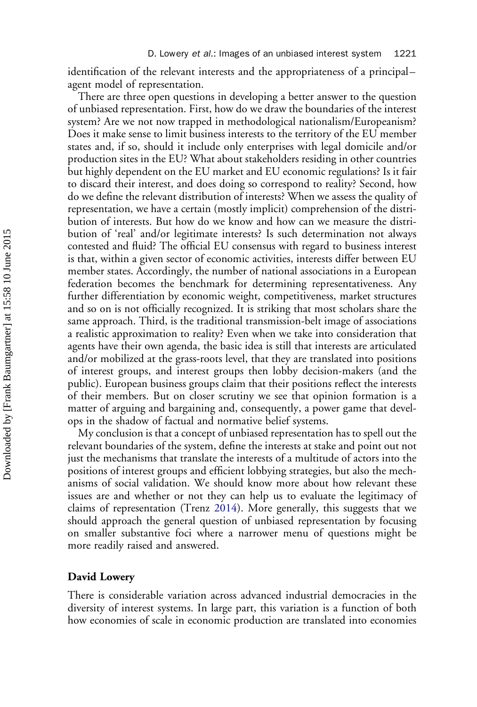identification of the relevant interests and the appropriateness of a principal– agent model of representation.

There are three open questions in developing a better answer to the question of unbiased representation. First, how do we draw the boundaries of the interest system? Are we not now trapped in methodological nationalism/Europeanism? Does it make sense to limit business interests to the territory of the EU member states and, if so, should it include only enterprises with legal domicile and/or production sites in the EU? What about stakeholders residing in other countries but highly dependent on the EU market and EU economic regulations? Is it fair to discard their interest, and does doing so correspond to reality? Second, how do we define the relevant distribution of interests? When we assess the quality of representation, we have a certain (mostly implicit) comprehension of the distribution of interests. But how do we know and how can we measure the distribution of 'real' and/or legitimate interests? Is such determination not always contested and fluid? The official EU consensus with regard to business interest is that, within a given sector of economic activities, interests differ between EU member states. Accordingly, the number of national associations in a European federation becomes the benchmark for determining representativeness. Any further differentiation by economic weight, competitiveness, market structures and so on is not officially recognized. It is striking that most scholars share the same approach. Third, is the traditional transmission-belt image of associations a realistic approximation to reality? Even when we take into consideration that agents have their own agenda, the basic idea is still that interests are articulated and/or mobilized at the grass-roots level, that they are translated into positions of interest groups, and interest groups then lobby decision-makers (and the public). European business groups claim that their positions reflect the interests of their members. But on closer scrutiny we see that opinion formation is a matter of arguing and bargaining and, consequently, a power game that develops in the shadow of factual and normative belief systems.

My conclusion is that a concept of unbiased representation has to spell out the relevant boundaries of the system, define the interests at stake and point out not just the mechanisms that translate the interests of a multitude of actors into the positions of interest groups and efficient lobbying strategies, but also the mechanisms of social validation. We should know more about how relevant these issues are and whether or not they can help us to evaluate the legitimacy of claims of representation (Trenz [2014](#page-21-0)). More generally, this suggests that we should approach the general question of unbiased representation by focusing on smaller substantive foci where a narrower menu of questions might be more readily raised and answered.

#### David Lowery

There is considerable variation across advanced industrial democracies in the diversity of interest systems. In large part, this variation is a function of both how economies of scale in economic production are translated into economies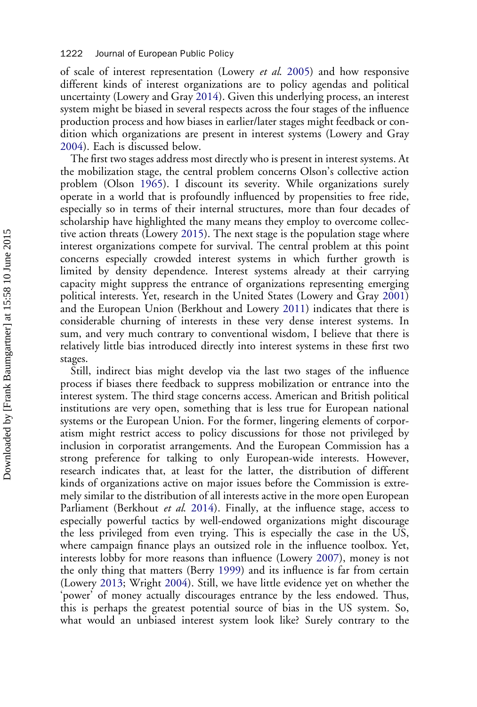of scale of interest representation (Lowery *et al.* [2005](#page-20-0)) and how responsive different kinds of interest organizations are to policy agendas and political uncertainty (Lowery and Gray [2014\)](#page-20-0). Given this underlying process, an interest system might be biased in several respects across the four stages of the influence production process and how biases in earlier/later stages might feedback or condition which organizations are present in interest systems (Lowery and Gray [2004\)](#page-20-0). Each is discussed below.

The first two stages address most directly who is present in interest systems. At the mobilization stage, the central problem concerns Olson's collective action problem (Olson [1965\)](#page-20-0). I discount its severity. While organizations surely operate in a world that is profoundly influenced by propensities to free ride, especially so in terms of their internal structures, more than four decades of scholarship have highlighted the many means they employ to overcome collective action threats (Lowery [2015](#page-20-0)). The next stage is the population stage where interest organizations compete for survival. The central problem at this point concerns especially crowded interest systems in which further growth is limited by density dependence. Interest systems already at their carrying capacity might suppress the entrance of organizations representing emerging political interests. Yet, research in the United States (Lowery and Gray [2001](#page-20-0)) and the European Union (Berkhout and Lowery [2011](#page-19-0)) indicates that there is considerable churning of interests in these very dense interest systems. In sum, and very much contrary to conventional wisdom, I believe that there is relatively little bias introduced directly into interest systems in these first two stages.

Still, indirect bias might develop via the last two stages of the influence process if biases there feedback to suppress mobilization or entrance into the interest system. The third stage concerns access. American and British political institutions are very open, something that is less true for European national systems or the European Union. For the former, lingering elements of corporatism might restrict access to policy discussions for those not privileged by inclusion in corporatist arrangements. And the European Commission has a strong preference for talking to only European-wide interests. However, research indicates that, at least for the latter, the distribution of different kinds of organizations active on major issues before the Commission is extremely similar to the distribution of all interests active in the more open European Parliament (Berkhout et al. [2014](#page-19-0)). Finally, at the influence stage, access to especially powerful tactics by well-endowed organizations might discourage the less privileged from even trying. This is especially the case in the US, where campaign finance plays an outsized role in the influence toolbox. Yet, interests lobby for more reasons than influence (Lowery [2007\)](#page-20-0), money is not the only thing that matters (Berry [1999](#page-19-0)) and its influence is far from certain (Lowery [2013](#page-20-0); Wright [2004\)](#page-21-0). Still, we have little evidence yet on whether the 'power' of money actually discourages entrance by the less endowed. Thus, this is perhaps the greatest potential source of bias in the US system. So, what would an unbiased interest system look like? Surely contrary to the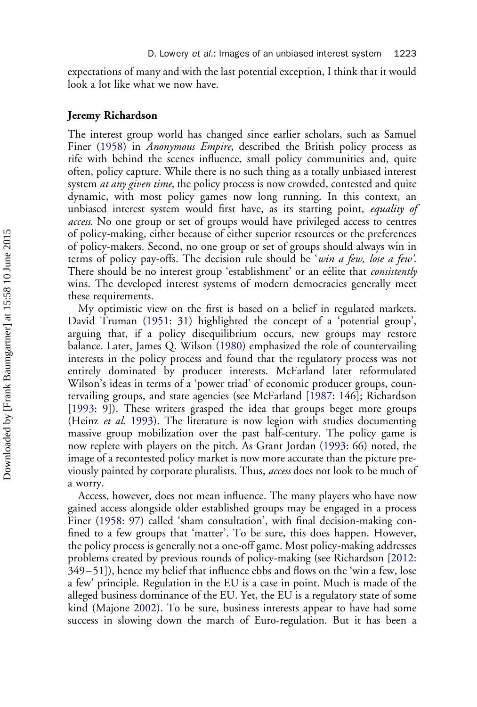expectations of many and with the last potential exception, I think that it would look a lot like what we now have.

## Jeremy Richardson

The interest group world has changed since earlier scholars, such as Samuel Finer [\(1958](#page-19-0)) in *Anonymous Empire*, described the British policy process as rife with behind the scenes influence, small policy communities and, quite often, policy capture. While there is no such thing as a totally unbiased interest system *at any given time*, the policy process is now crowded, contested and quite dynamic, with most policy games now long running. In this context, an unbiased interest system would first have, as its starting point, equality of access. No one group or set of groups would have privileged access to centres of policy-making, either because of either superior resources or the preferences of policy-makers. Second, no one group or set of groups should always win in terms of policy pay-offs. The decision rule should be 'win a few, lose a few'. There should be no interest group 'establishment' or an eélite that *consistently* wins. The developed interest systems of modern democracies generally meet these requirements.

My optimistic view on the first is based on a belief in regulated markets. David Truman ([1951:](#page-21-0) 31) highlighted the concept of a 'potential group', arguing that, if a policy disequilibrium occurs, new groups may restore balance. Later, James Q. Wilson [\(1980](#page-21-0)) emphasized the role of countervailing interests in the policy process and found that the regulatory process was not entirely dominated by producer interests. McFarland later reformulated Wilson's ideas in terms of a 'power triad' of economic producer groups, countervailing groups, and state agencies (see McFarland [[1987:](#page-20-0) 146]; Richardson [[1993:](#page-20-0) 9]). These writers grasped the idea that groups beget more groups (Heinz et al. [1993\)](#page-20-0). The literature is now legion with studies documenting massive group mobilization over the past half-century. The policy game is now replete with players on the pitch. As Grant Jordan [\(1993](#page-20-0): 66) noted, the image of a recontested policy market is now more accurate than the picture previously painted by corporate pluralists. Thus, *access* does not look to be much of a worry.

Access, however, does not mean influence. The many players who have now gained access alongside older established groups may be engaged in a process Finer [\(1958](#page-19-0): 97) called 'sham consultation', with final decision-making confined to a few groups that 'matter'. To be sure, this does happen. However, the policy process is generally not a one-off game. Most policy-making addresses problems created by previous rounds of policy-making (see Richardson [\[2012](#page-20-0): 349–51]), hence my belief that influence ebbs and flows on the 'win a few, lose a few' principle. Regulation in the EU is a case in point. Much is made of the alleged business dominance of the EU. Yet, the EU is a regulatory state of some kind (Majone [2002\)](#page-20-0). To be sure, business interests appear to have had some success in slowing down the march of Euro-regulation. But it has been a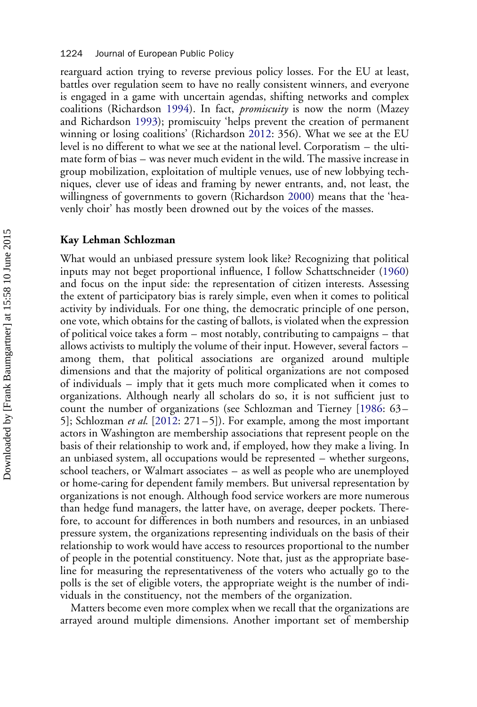rearguard action trying to reverse previous policy losses. For the EU at least, battles over regulation seem to have no really consistent winners, and everyone is engaged in a game with uncertain agendas, shifting networks and complex coalitions (Richardson [1994](#page-20-0)). In fact, *promiscuity* is now the norm (Mazey and Richardson [1993\)](#page-20-0); promiscuity 'helps prevent the creation of permanent winning or losing coalitions' (Richardson [2012](#page-20-0): 356). What we see at the EU level is no different to what we see at the national level. Corporatism – the ultimate form of bias – was never much evident in the wild. The massive increase in group mobilization, exploitation of multiple venues, use of new lobbying techniques, clever use of ideas and framing by newer entrants, and, not least, the willingness of governments to govern (Richardson [2000](#page-20-0)) means that the 'heavenly choir' has mostly been drowned out by the voices of the masses.

## Kay Lehman Schlozman

What would an unbiased pressure system look like? Recognizing that political inputs may not beget proportional influence, I follow Schattschneider [\(1960](#page-21-0)) and focus on the input side: the representation of citizen interests. Assessing the extent of participatory bias is rarely simple, even when it comes to political activity by individuals. For one thing, the democratic principle of one person, one vote, which obtains for the casting of ballots, is violated when the expression of political voice takes a form – most notably, contributing to campaigns – that allows activists to multiply the volume of their input. However, several factors – among them, that political associations are organized around multiple dimensions and that the majority of political organizations are not composed of individuals – imply that it gets much more complicated when it comes to organizations. Although nearly all scholars do so, it is not sufficient just to count the number of organizations (see Schlozman and Tierney [\[1986](#page-21-0): 63– 5]; Schlozman *et al.* [\[2012](#page-21-0):  $271-5$ ]). For example, among the most important actors in Washington are membership associations that represent people on the basis of their relationship to work and, if employed, how they make a living. In an unbiased system, all occupations would be represented – whether surgeons, school teachers, or Walmart associates – as well as people who are unemployed or home-caring for dependent family members. But universal representation by organizations is not enough. Although food service workers are more numerous than hedge fund managers, the latter have, on average, deeper pockets. Therefore, to account for differences in both numbers and resources, in an unbiased pressure system, the organizations representing individuals on the basis of their relationship to work would have access to resources proportional to the number of people in the potential constituency. Note that, just as the appropriate baseline for measuring the representativeness of the voters who actually go to the polls is the set of eligible voters, the appropriate weight is the number of individuals in the constituency, not the members of the organization.

Matters become even more complex when we recall that the organizations are arrayed around multiple dimensions. Another important set of membership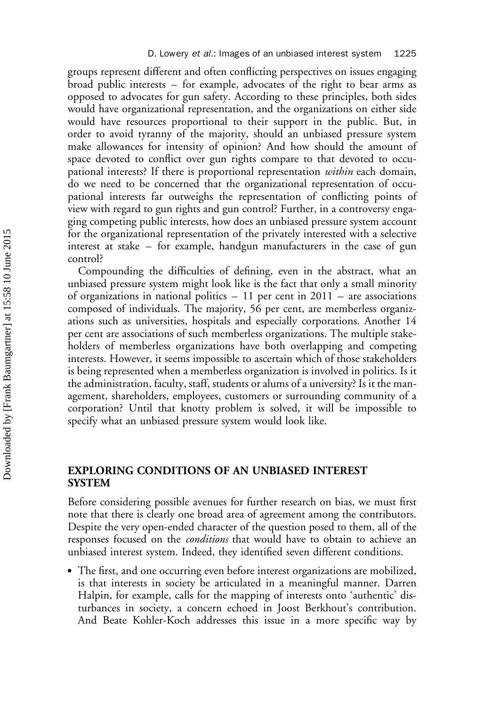groups represent different and often conflicting perspectives on issues engaging broad public interests – for example, advocates of the right to bear arms as opposed to advocates for gun safety. According to these principles, both sides would have organizational representation, and the organizations on either side would have resources proportional to their support in the public. But, in order to avoid tyranny of the majority, should an unbiased pressure system make allowances for intensity of opinion? And how should the amount of space devoted to conflict over gun rights compare to that devoted to occupational interests? If there is proportional representation *within* each domain, do we need to be concerned that the organizational representation of occupational interests far outweighs the representation of conflicting points of view with regard to gun rights and gun control? Further, in a controversy engaging competing public interests, how does an unbiased pressure system account for the organizational representation of the privately interested with a selective interest at stake – for example, handgun manufacturers in the case of gun control?

Compounding the difficulties of defining, even in the abstract, what an unbiased pressure system might look like is the fact that only a small minority of organizations in national politics – 11 per cent in 2011 – are associations composed of individuals. The majority, 56 per cent, are memberless organizations such as universities, hospitals and especially corporations. Another 14 per cent are associations of such memberless organizations. The multiple stakeholders of memberless organizations have both overlapping and competing interests. However, it seems impossible to ascertain which of those stakeholders is being represented when a memberless organization is involved in politics. Is it the administration, faculty, staff, students or alums of a university? Is it the management, shareholders, employees, customers or surrounding community of a corporation? Until that knotty problem is solved, it will be impossible to specify what an unbiased pressure system would look like.

## EXPLORING CONDITIONS OF AN UNBIASED INTEREST **SYSTEM**

Before considering possible avenues for further research on bias, we must first note that there is clearly one broad area of agreement among the contributors. Despite the very open-ended character of the question posed to them, all of the responses focused on the *conditions* that would have to obtain to achieve an unbiased interest system. Indeed, they identified seven different conditions.

. The first, and one occurring even before interest organizations are mobilized, is that interests in society be articulated in a meaningful manner. Darren Halpin, for example, calls for the mapping of interests onto 'authentic' disturbances in society, a concern echoed in Joost Berkhout's contribution. And Beate Kohler-Koch addresses this issue in a more specific way by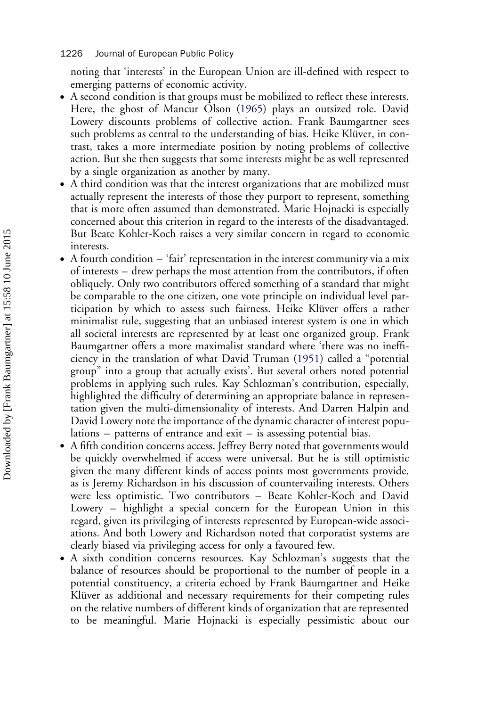noting that 'interests' in the European Union are ill-defined with respect to emerging patterns of economic activity.

- . A second condition is that groups must be mobilized to reflect these interests. Here, the ghost of Mancur Olson [\(1965](#page-20-0)) plays an outsized role. David Lowery discounts problems of collective action. Frank Baumgartner sees such problems as central to the understanding of bias. Heike Klüver, in contrast, takes a more intermediate position by noting problems of collective action. But she then suggests that some interests might be as well represented by a single organization as another by many.
- . A third condition was that the interest organizations that are mobilized must actually represent the interests of those they purport to represent, something that is more often assumed than demonstrated. Marie Hojnacki is especially concerned about this criterion in regard to the interests of the disadvantaged. But Beate Kohler-Koch raises a very similar concern in regard to economic interests.
- . A fourth condition 'fair' representation in the interest community via a mix of interests – drew perhaps the most attention from the contributors, if often obliquely. Only two contributors offered something of a standard that might be comparable to the one citizen, one vote principle on individual level participation by which to assess such fairness. Heike Klüver offers a rather minimalist rule, suggesting that an unbiased interest system is one in which all societal interests are represented by at least one organized group. Frank Baumgartner offers a more maximalist standard where 'there was no inefficiency in the translation of what David Truman [\(1951](#page-21-0)) called a "potential group" into a group that actually exists'. But several others noted potential problems in applying such rules. Kay Schlozman's contribution, especially, highlighted the difficulty of determining an appropriate balance in representation given the multi-dimensionality of interests. And Darren Halpin and David Lowery note the importance of the dynamic character of interest populations – patterns of entrance and exit – is assessing potential bias.
- . A fifth condition concerns access. Jeffrey Berry noted that governments would be quickly overwhelmed if access were universal. But he is still optimistic given the many different kinds of access points most governments provide, as is Jeremy Richardson in his discussion of countervailing interests. Others were less optimistic. Two contributors – Beate Kohler-Koch and David Lowery – highlight a special concern for the European Union in this regard, given its privileging of interests represented by European-wide associations. And both Lowery and Richardson noted that corporatist systems are clearly biased via privileging access for only a favoured few.
- . A sixth condition concerns resources. Kay Schlozman's suggests that the balance of resources should be proportional to the number of people in a potential constituency, a criteria echoed by Frank Baumgartner and Heike Klüver as additional and necessary requirements for their competing rules on the relative numbers of different kinds of organization that are represented to be meaningful. Marie Hojnacki is especially pessimistic about our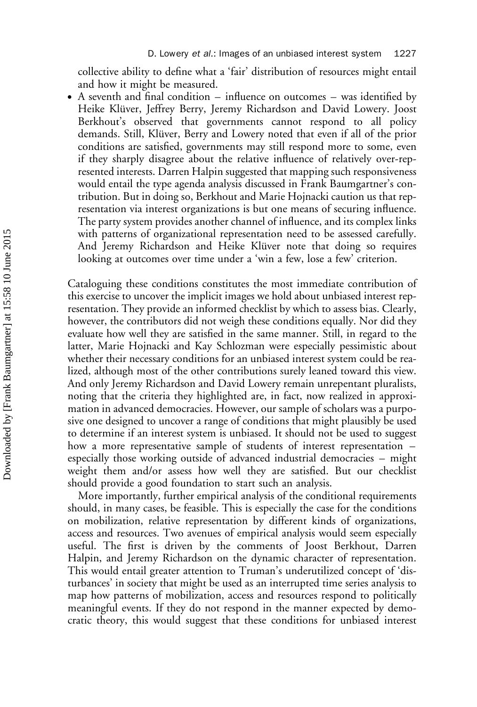collective ability to define what a 'fair' distribution of resources might entail and how it might be measured.

. A seventh and final condition – influence on outcomes – was identified by Heike Klüver, Jeffrey Berry, Jeremy Richardson and David Lowery. Joost Berkhout's observed that governments cannot respond to all policy demands. Still, Klüver, Berry and Lowery noted that even if all of the prior conditions are satisfied, governments may still respond more to some, even if they sharply disagree about the relative influence of relatively over-represented interests. Darren Halpin suggested that mapping such responsiveness would entail the type agenda analysis discussed in Frank Baumgartner's contribution. But in doing so, Berkhout and Marie Hojnacki caution us that representation via interest organizations is but one means of securing influence. The party system provides another channel of influence, and its complex links with patterns of organizational representation need to be assessed carefully. And Jeremy Richardson and Heike Klüver note that doing so requires looking at outcomes over time under a 'win a few, lose a few' criterion.

Cataloguing these conditions constitutes the most immediate contribution of this exercise to uncover the implicit images we hold about unbiased interest representation. They provide an informed checklist by which to assess bias. Clearly, however, the contributors did not weigh these conditions equally. Nor did they evaluate how well they are satisfied in the same manner. Still, in regard to the latter, Marie Hojnacki and Kay Schlozman were especially pessimistic about whether their necessary conditions for an unbiased interest system could be realized, although most of the other contributions surely leaned toward this view. And only Jeremy Richardson and David Lowery remain unrepentant pluralists, noting that the criteria they highlighted are, in fact, now realized in approximation in advanced democracies. However, our sample of scholars was a purposive one designed to uncover a range of conditions that might plausibly be used to determine if an interest system is unbiased. It should not be used to suggest how a more representative sample of students of interest representation – especially those working outside of advanced industrial democracies – might weight them and/or assess how well they are satisfied. But our checklist should provide a good foundation to start such an analysis.

More importantly, further empirical analysis of the conditional requirements should, in many cases, be feasible. This is especially the case for the conditions on mobilization, relative representation by different kinds of organizations, access and resources. Two avenues of empirical analysis would seem especially useful. The first is driven by the comments of Joost Berkhout, Darren Halpin, and Jeremy Richardson on the dynamic character of representation. This would entail greater attention to Truman's underutilized concept of 'disturbances' in society that might be used as an interrupted time series analysis to map how patterns of mobilization, access and resources respond to politically meaningful events. If they do not respond in the manner expected by democratic theory, this would suggest that these conditions for unbiased interest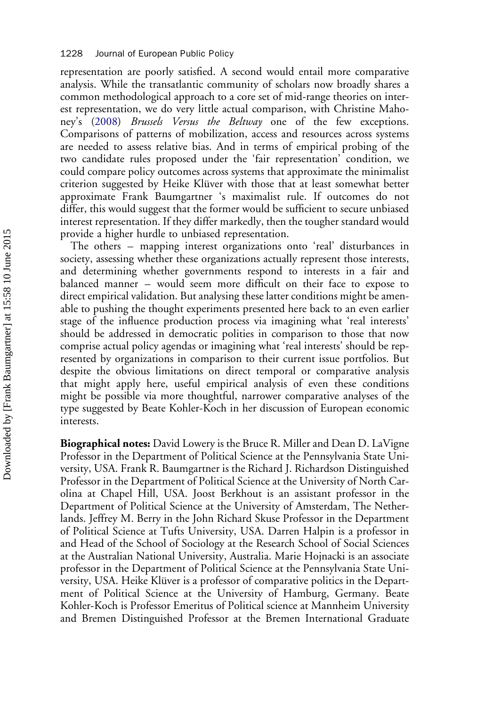representation are poorly satisfied. A second would entail more comparative analysis. While the transatlantic community of scholars now broadly shares a common methodological approach to a core set of mid-range theories on interest representation, we do very little actual comparison, with Christine Maho-ney's [\(2008](#page-20-0)) *Brussels Versus the Beltway* one of the few exceptions. Comparisons of patterns of mobilization, access and resources across systems are needed to assess relative bias. And in terms of empirical probing of the two candidate rules proposed under the 'fair representation' condition, we could compare policy outcomes across systems that approximate the minimalist criterion suggested by Heike Klüver with those that at least somewhat better approximate Frank Baumgartner 's maximalist rule. If outcomes do not differ, this would suggest that the former would be sufficient to secure unbiased interest representation. If they differ markedly, then the tougher standard would provide a higher hurdle to unbiased representation.

The others – mapping interest organizations onto 'real' disturbances in society, assessing whether these organizations actually represent those interests, and determining whether governments respond to interests in a fair and balanced manner – would seem more difficult on their face to expose to direct empirical validation. But analysing these latter conditions might be amenable to pushing the thought experiments presented here back to an even earlier stage of the influence production process via imagining what 'real interests' should be addressed in democratic polities in comparison to those that now comprise actual policy agendas or imagining what 'real interests' should be represented by organizations in comparison to their current issue portfolios. But despite the obvious limitations on direct temporal or comparative analysis that might apply here, useful empirical analysis of even these conditions might be possible via more thoughtful, narrower comparative analyses of the type suggested by Beate Kohler-Koch in her discussion of European economic interests.

Biographical notes: David Lowery is the Bruce R. Miller and Dean D. LaVigne Professor in the Department of Political Science at the Pennsylvania State University, USA. Frank R. Baumgartner is the Richard J. Richardson Distinguished Professor in the Department of Political Science at the University of North Carolina at Chapel Hill, USA. Joost Berkhout is an assistant professor in the Department of Political Science at the University of Amsterdam, The Netherlands. Jeffrey M. Berry in the John Richard Skuse Professor in the Department of Political Science at Tufts University, USA. Darren Halpin is a professor in and Head of the School of Sociology at the Research School of Social Sciences at the Australian National University, Australia. Marie Hojnacki is an associate professor in the Department of Political Science at the Pennsylvania State University, USA. Heike Klüver is a professor of comparative politics in the Department of Political Science at the University of Hamburg, Germany. Beate Kohler-Koch is Professor Emeritus of Political science at Mannheim University and Bremen Distinguished Professor at the Bremen International Graduate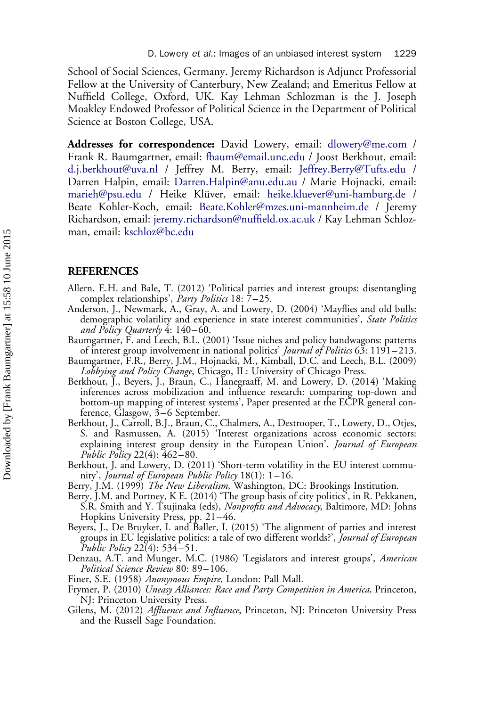<span id="page-19-0"></span>School of Social Sciences, Germany. Jeremy Richardson is Adjunct Professorial Fellow at the University of Canterbury, New Zealand; and Emeritus Fellow at Nuffield College, Oxford, UK. Kay Lehman Schlozman is the J. Joseph Moakley Endowed Professor of Political Science in the Department of Political Science at Boston College, USA.

Addresses for correspondence: David Lowery, email: [dlowery@me.com](mailto:dlowery@me.com) / Frank R. Baumgartner, email: [fbaum@email.unc.edu](mailto:fbaum@email.unc.edu) / Joost Berkhout, email: [d.j.berkhout@uva.nl](mailto:d.j.berkhout@uva.nl) / Jeffrey M. Berry, email: [Jeffrey.Berry@Tufts.edu](mailto:Jeffrey.Berry@Tufts.edu) / Darren Halpin, email: [Darren.Halpin@anu.edu.au](mailto:Darren.Halpin@anu.edu.au) / Marie Hojnacki, email: [marieh@psu.edu](mailto:marieh@psu.edu) / Heike Klüver, email: [heike.kluever@uni-hamburg.de](mailto:heike.kluever@uni-hamburg.de) / Beate Kohler-Koch, email: [Beate.Kohler@mzes.uni-mannheim.de](mailto:Beate.Kohler@mzes.uni-mannheim.de) / Jeremy Richardson, email: [jeremy.richardson@nuffield.ox.ac.uk](mailto:jeremy.richardson@nuffield.ox.ac.uk) / Kay Lehman Schlozman, email: [kschloz@bc.edu](mailto:kschloz@bc.edu)

### REFERENCES

- Allern, E.H. and Bale, T. (2012) 'Political parties and interest groups: disentangling complex relationships', Party Politics 18: 7–25.
- Anderson, J., Newmark, A., Gray, A. and Lowery, D. (2004) 'Mayflies and old bulls: demographic volatility and experience in state interest communities', State Politics and Policy Quarterly 4: 140–60.
- Baumgartner, F. and Leech, B.L. (2001) 'Issue niches and policy bandwagons: patterns of interest group involvement in national politics' Journal of Politics 63: 1191–213.
- Baumgartner, F.R., Berry, J.M., Hojnacki, M., Kimball, D.C. and Leech, B.L. (2009) Lobbying and Policy Change, Chicago, IL: University of Chicago Press.
- Berkhout, J., Beyers, J., Braun, C., Hanegraaff, M. and Lowery, D. (2014) 'Making inferences across mobilization and influence research: comparing top-down and bottom-up mapping of interest systems', Paper presented at the ECPR general conference, Glasgow, 3–6 September.
- Berkhout, J., Carroll, B.J., Braun, C., Chalmers, A., Destrooper, T., Lowery, D., Otjes, S. and Rasmussen, A. (2015) 'Interest organizations across economic sectors: explaining interest group density in the European Union', Journal of European Public Policy 22(4): 462–80.
- Berkhout, J. and Lowery, D. (2011) 'Short-term volatility in the EU interest community', Journal of European Public Policy 18(1): 1–16.
- Berry, J.M. (1999) The New Liberalism, Washington, DC: Brookings Institution.
- Berry, J.M. and Portney, K E. (2014) 'The group basis of city politics', in R. Pekkanen, S.R. Smith and Y. Tsujinaka (eds), *Nonprofits and Advocacy*, Baltimore, MD: Johns Hopkins University Press, pp. 21–46.
- Beyers, J., De Bruyker, I. and Baller, I. (2015) 'The alignment of parties and interest groups in EU legislative politics: a tale of two different worlds?', Journal of European Public Policy 22(4): 534–51.
- Denzau, A.T. and Munger, M.C. (1986) 'Legislators and interest groups', American Political Science Review 80: 89–106.
- Finer, S.E. (1958) *Anonymous Empire*, London: Pall Mall.
- Frymer, P. (2010) Uneasy Alliances: Race and Party Competition in America, Princeton, NJ: Princeton University Press.
- Gilens, M. (2012) Affluence and Influence, Princeton, NJ: Princeton University Press and the Russell Sage Foundation.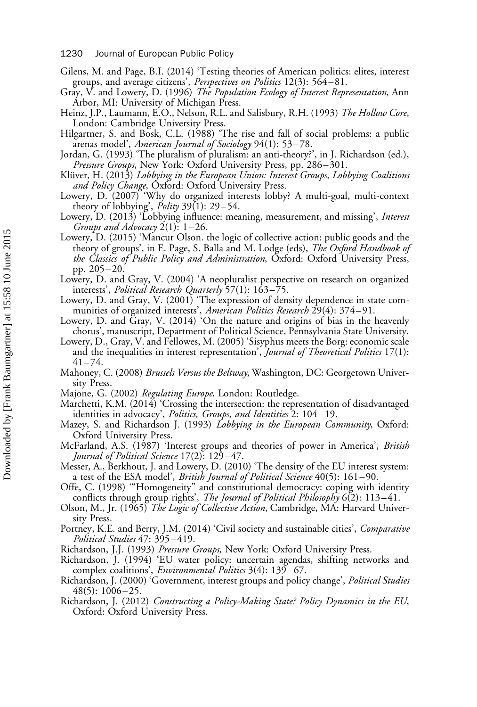- <span id="page-20-0"></span>Gilens, M. and Page, B.I. (2014) 'Testing theories of American politics: elites, interest groups, and average citizens', Perspectives on Politics 12(3): 564–81.
- Gray, V. and Lowery, D. (1996) The Population Ecology of Interest Representation, Ann Arbor, MI: University of Michigan Press.
- Heinz, J.P., Laumann, E.O., Nelson, R.L. and Salisbury, R.H. (1993) *The Hollow Core*, London: Cambridge University Press.
- Hilgartner, S. and Bosk, C.L. (1988) 'The rise and fall of social problems: a public arenas model', American Journal of Sociology 94(1): 53–78.
- Jordan, G. (1993) 'The pluralism of pluralism: an anti-theory?', in J. Richardson (ed.), Pressure Groups, New York: Oxford University Press, pp. 286-301.
- Klüver, H. (2013) Lobbying in the European Union: Interest Groups, Lobbying Coalitions and Policy Change, Oxford: Oxford University Press.
- Lowery, D. (2007) 'Why do organized interests lobby? A multi-goal, multi-context theory of lobbying', *Polity* 39(1): 29–54.
- Lowery, D. (2013) 'Lobbying influence: meaning, measurement, and missing', Interest Groups and Advocacy  $2(1)$ :  $1-26$ .
- Lowery, D. (2015) 'Mancur Olson. the logic of collective action: public goods and the theory of groups', in E. Page, S. Balla and M. Lodge (eds), The Oxford Handbook of the Classics of Public Policy and Administration, Oxford: Oxford University Press, pp. 205–20.
- Lowery, D. and Gray, V. (2004) 'A neopluralist perspective on research on organized interests', Political Research Quarterly 57(1): 163–75.
- Lowery, D. and Gray, V. (2001) 'The expression of density dependence in state communities of organized interests', American Politics Research 29(4): 374-91.
- Lowery, D. and Gray, V. (2014) 'On the nature and origins of bias in the heavenly chorus', manuscript, Department of Political Science, Pennsylvania State University.
- Lowery, D., Gray, V. and Fellowes, M. (2005) 'Sisyphus meets the Borg: economic scale and the inequalities in interest representation', Journal of Theoretical Politics 17(1):  $41 - 74.$
- Mahoney, C. (2008) Brussels Versus the Beltway, Washington, DC: Georgetown University Press.
- Majone, G. (2002) Regulating Europe, London: Routledge.
- Marchetti, K.M. (2014) 'Crossing the intersection: the representation of disadvantaged identities in advocacy', *Politics, Groups, and Identities* 2: 104–19.
- Mazey, S. and Richardson J. (1993) Lobbying in the European Community, Oxford: Oxford University Press.
- McFarland, A.S. (1987) 'Interest groups and theories of power in America', British Journal of Political Science 17(2): 129–47.
- Messer, A., Berkhout, J. and Lowery, D. (2010) 'The density of the EU interest system: a test of the ESA model', British Journal of Political Science 40(5): 161–90.
- Offe, C. (1998) '"Homogeneity" and constitutional democracy: coping with identity conflicts through group rights', The Journal of Political Philosophy 6(2): 113-41.
- Olson, M., Jr. (1965) The Logic of Collective Action, Cambridge, MA: Harvard University Press.
- Portney, K.E. and Berry, J.M. (2014) 'Civil society and sustainable cities', Comparative Political Studies 47: 395–419.
- Richardson, J.J. (1993) Pressure Groups, New York: Oxford University Press.
- Richardson, J. (1994) 'EU water policy: uncertain agendas, shifting networks and complex coalitions', Environmental Politics 3(4): 139–67.
- Richardson, J. (2000) 'Government, interest groups and policy change', Political Studies 48(5): 1006–25.
- Richardson, J. (2012) Constructing a Policy-Making State? Policy Dynamics in the EU, Oxford: Oxford University Press.